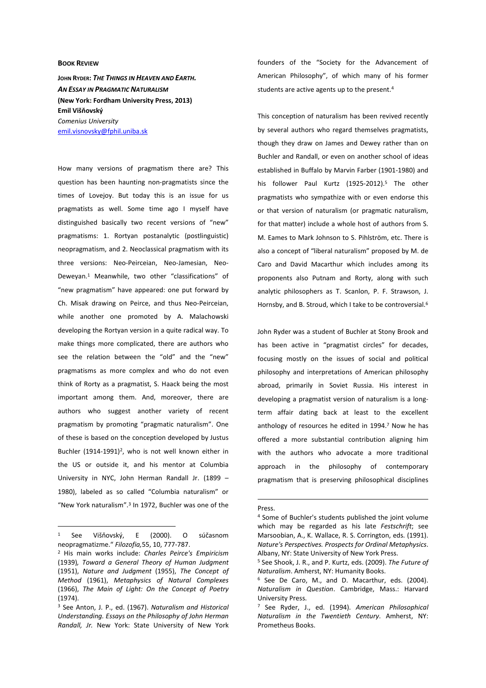## **BOOK REVIEW**

**JOHN RYDER:** *THE THINGS IN HEAVEN AND EARTH. AN ESSAY IN PRAGMATIC NATURALISM* **(New York: Fordham University Press, 2013) Emil Višňovský** *Comenius University*  emil.visnovsky@fphil.uniba.sk

How many versions of pragmatism there are? This question has been haunting non-pragmatists since the times of Lovejoy. But today this is an issue for us pragmatists as well. Some time ago I myself have distinguished basically two recent versions of "new" pragmatisms: 1. Rortyan postanalytic (postlinguistic) neopragmatism, and 2. Neoclassical pragmatism with its three versions: Neo-Peirceian, Neo-Jamesian, Neo-Deweyan.<sup>1</sup> Meanwhile, two other "classifications" of "new pragmatism" have appeared: one put forward by Ch. Misak drawing on Peirce, and thus Neo-Peirceian, while another one promoted by A. Malachowski developing the Rortyan version in a quite radical way. To make things more complicated, there are authors who see the relation between the "old" and the "new" pragmatisms as more complex and who do not even think of Rorty as a pragmatist, S. Haack being the most important among them. And, moreover, there are authors who suggest another variety of recent pragmatism by promoting "pragmatic naturalism". One of these is based on the conception developed by Justus Buchler (1914-1991)<sup>2</sup>, who is not well known either in the US or outside it, and his mentor at Columbia University in NYC, John Herman Randall Jr. (1899 – 1980), labeled as so called "Columbia naturalism" or "New York naturalism".<sup>3</sup> In 1972, Buchler was one of the

 $\overline{a}$ 

founders of the "Society for the Advancement of American Philosophy", of which many of his former students are active agents up to the present.<sup>4</sup>

This conception of naturalism has been revived recently by several authors who regard themselves pragmatists, though they draw on James and Dewey rather than on Buchler and Randall, or even on another school of ideas established in Buffalo by Marvin Farber (1901-1980) and his follower Paul Kurtz (1925-2012).<sup>5</sup> The other pragmatists who sympathize with or even endorse this or that version of naturalism (or pragmatic naturalism, for that matter) include a whole host of authors from S. M. Eames to Mark Johnson to S. Pihlström, etc. There is also a concept of "liberal naturalism" proposed by M. de Caro and David Macarthur which includes among its proponents also Putnam and Rorty, along with such analytic philosophers as T. Scanlon, P. F. Strawson, J. Hornsby, and B. Stroud, which I take to be controversial.<sup>6</sup>

John Ryder was a student of Buchler at Stony Brook and has been active in "pragmatist circles" for decades, focusing mostly on the issues of social and political philosophy and interpretations of American philosophy abroad, primarily in Soviet Russia. His interest in developing a pragmatist version of naturalism is a longterm affair dating back at least to the excellent anthology of resources he edited in 1994.<sup>7</sup> Now he has offered a more substantial contribution aligning him with the authors who advocate a more traditional approach in the philosophy of contemporary pragmatism that is preserving philosophical disciplines

<sup>1</sup> See Višňovský, E (2000). O súčasnom neopragmatizme." *Filozofia,*55, 10, 777-787.

<sup>2</sup> His main works include: *Charles Peirce's Empiricism* (1939)*, Toward a General Theory of Human Judgment* (1951), *Nature and Judgment* (1955), *The Concept of Method* (1961), *Metaphysics of Natural Complexes* (1966), *The Main of Light: On the Concept of Poetry* (1974).

<sup>3</sup> See Anton, J. P., ed. (1967). *Naturalism and Historical Understanding. Essays on the Philosophy of John Herman Randall, Jr.* New York: State University of New York

Press.

<sup>4</sup> Some of Buchler's students published the joint volume which may be regarded as his late *Festschrift*; see Marsoobian, A., K. Wallace, R. S. Corrington, eds. (1991). *Nature's Perspectives. Prospects for Ordinal Metaphysics*. Albany, NY: State University of New York Press.

<sup>5</sup> See Shook, J. R., and P. Kurtz, eds. (2009). *The Future of Naturalism*. Amherst, NY: Humanity Books.

<sup>6</sup> See De Caro, M., and D. Macarthur, eds. (2004). *Naturalism in Question*. Cambridge, Mass.: Harvard University Press.

<sup>7</sup> See Ryder, J., ed. (1994). *American Philosophical Naturalism in the Twentieth Century*. Amherst, NY: Prometheus Books.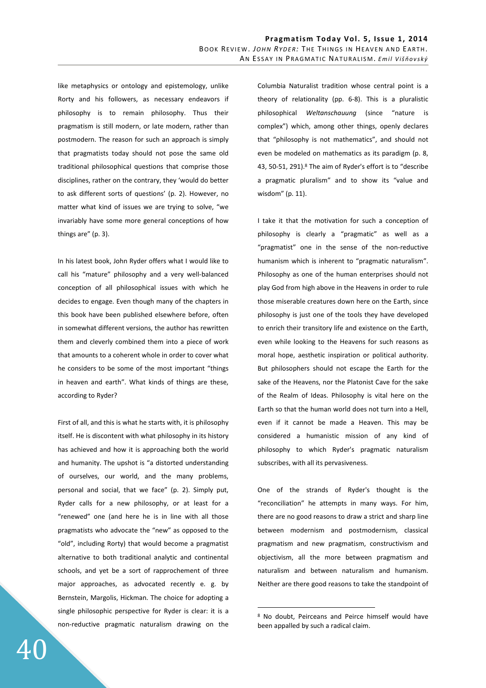like metaphysics or ontology and epistemology, unlike Rorty and his followers, as necessary endeavors if philosophy is to remain philosophy. Thus their pragmatism is still modern, or late modern, rather than postmodern. The reason for such an approach is simply that pragmatists today should not pose the same old traditional philosophical questions that comprise those disciplines, rather on the contrary, they 'would do better to ask different sorts of questions' (p. 2). However, no matter what kind of issues we are trying to solve, "we invariably have some more general conceptions of how things are" (p. 3).

In his latest book, John Ryder offers what I would like to call his "mature" philosophy and a very well-balanced conception of all philosophical issues with which he decides to engage. Even though many of the chapters in this book have been published elsewhere before, often in somewhat different versions, the author has rewritten them and cleverly combined them into a piece of work that amounts to a coherent whole in order to cover what he considers to be some of the most important "things in heaven and earth". What kinds of things are these, according to Ryder?

First of all, and this is what he starts with, it is philosophy itself. He is discontent with what philosophy in its history has achieved and how it is approaching both the world and humanity. The upshot is "a distorted understanding of ourselves, our world, and the many problems, personal and social, that we face" (p. 2). Simply put, Ryder calls for a new philosophy, or at least for a "renewed" one (and here he is in line with all those pragmatists who advocate the "new" as opposed to the "old", including Rorty) that would become a pragmatist alternative to both traditional analytic and continental schools, and yet be a sort of rapprochement of three major approaches, as advocated recently e. g. by Bernstein, Margolis, Hickman. The choice for adopting a single philosophic perspective for Ryder is clear: it is a non-reductive pragmatic naturalism drawing on the

Columbia Naturalist tradition whose central point is a theory of relationality (pp. 6-8). This is a pluralistic philosophical *Weltanschauung* (since "nature is complex") which, among other things, openly declares that "philosophy is not mathematics", and should not even be modeled on mathematics as its paradigm (p. 8, 43, 50-51, 291).<sup>8</sup> The aim of Ryder's effort is to "describe a pragmatic pluralism" and to show its "value and wisdom" (p. 11).

I take it that the motivation for such a conception of philosophy is clearly a "pragmatic" as well as a "pragmatist" one in the sense of the non-reductive humanism which is inherent to "pragmatic naturalism". Philosophy as one of the human enterprises should not play God from high above in the Heavens in order to rule those miserable creatures down here on the Earth, since philosophy is just one of the tools they have developed to enrich their transitory life and existence on the Earth, even while looking to the Heavens for such reasons as moral hope, aesthetic inspiration or political authority. But philosophers should not escape the Earth for the sake of the Heavens, nor the Platonist Cave for the sake of the Realm of Ideas. Philosophy is vital here on the Earth so that the human world does not turn into a Hell, even if it cannot be made a Heaven. This may be considered a humanistic mission of any kind of philosophy to which Ryder's pragmatic naturalism subscribes, with all its pervasiveness.

One of the strands of Ryder's thought is the "reconciliation" he attempts in many ways. For him, there are no good reasons to draw a strict and sharp line between modernism and postmodernism, classical pragmatism and new pragmatism, constructivism and objectivism, all the more between pragmatism and naturalism and between naturalism and humanism. Neither are there good reasons to take the standpoint of

<sup>8</sup> No doubt, Peirceans and Peirce himself would have been appalled by such a radical claim.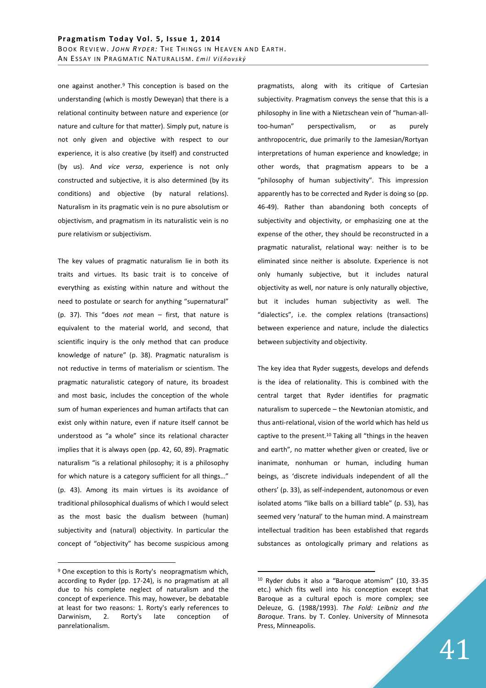one against another.<sup>9</sup> This conception is based on the understanding (which is mostly Deweyan) that there is a relational continuity between nature and experience (or nature and culture for that matter). Simply put, nature is not only given and objective with respect to our experience, it is also creative (by itself) and constructed (by us). And *vice versa*, experience is not only constructed and subjective, it is also determined (by its conditions) and objective (by natural relations). Naturalism in its pragmatic vein is no pure absolutism or objectivism, and pragmatism in its naturalistic vein is no pure relativism or subjectivism.

The key values of pragmatic naturalism lie in both its traits and virtues. Its basic trait is to conceive of everything as existing within nature and without the need to postulate or search for anything "supernatural" (p. 37). This "does *not* mean – first, that nature is equivalent to the material world, and second, that scientific inquiry is the only method that can produce knowledge of nature" (p. 38). Pragmatic naturalism is not reductive in terms of materialism or scientism. The pragmatic naturalistic category of nature, its broadest and most basic, includes the conception of the whole sum of human experiences and human artifacts that can exist only within nature, even if nature itself cannot be understood as "a whole" since its relational character implies that it is always open (pp. 42, 60, 89). Pragmatic naturalism "is a relational philosophy; it is a philosophy for which nature is a category sufficient for all things…" (p. 43). Among its main virtues is its avoidance of traditional philosophical dualisms of which I would select as the most basic the dualism between (human) subjectivity and (natural) objectivity. In particular the concept of "objectivity" has become suspicious among

 $\overline{a}$ 

pragmatists, along with its critique of Cartesian subjectivity. Pragmatism conveys the sense that this is a philosophy in line with a Nietzschean vein of "human-alltoo-human" perspectivalism, or as purely anthropocentric, due primarily to the Jamesian/Rortyan interpretations of human experience and knowledge; in other words, that pragmatism appears to be a "philosophy of human subjectivity". This impression apparently has to be corrected and Ryder is doing so (pp. 46-49). Rather than abandoning both concepts of subjectivity and objectivity, or emphasizing one at the expense of the other, they should be reconstructed in a pragmatic naturalist, relational way: neither is to be eliminated since neither is absolute. Experience is not only humanly subjective, but it includes natural objectivity as well, nor nature is only naturally objective, but it includes human subjectivity as well. The "dialectics", i.e. the complex relations (transactions) between experience and nature, include the dialectics between subjectivity and objectivity.

The key idea that Ryder suggests, develops and defends is the idea of relationality. This is combined with the central target that Ryder identifies for pragmatic naturalism to supercede – the Newtonian atomistic, and thus anti-relational, vision of the world which has held us captive to the present.<sup>10</sup> Taking all "things in the heaven and earth", no matter whether given or created, live or inanimate, nonhuman or human, including human beings, as 'discrete individuals independent of all the others' (p. 33), as self-independent, autonomous or even isolated atoms "like balls on a billiard table" (p. 53), has seemed very 'natural' to the human mind. A mainstream intellectual tradition has been established that regards substances as ontologically primary and relations as

<sup>&</sup>lt;sup>9</sup> One exception to this is Rorty's neopragmatism which, according to Ryder (pp. 17-24), is no pragmatism at all due to his complete neglect of naturalism and the concept of experience. This may, however, be debatable at least for two reasons: 1. Rorty's early references to Darwinism, 2. Rorty's late conception of panrelationalism.

<sup>10</sup> Ryder dubs it also a "Baroque atomism" (10, 33-35 etc.) which fits well into his conception except that Baroque as a cultural epoch is more complex; see Deleuze, G. (1988/1993). *The Fold: Leibniz and the Baroque*. Trans. by T. Conley. University of Minnesota Press, Minneapolis.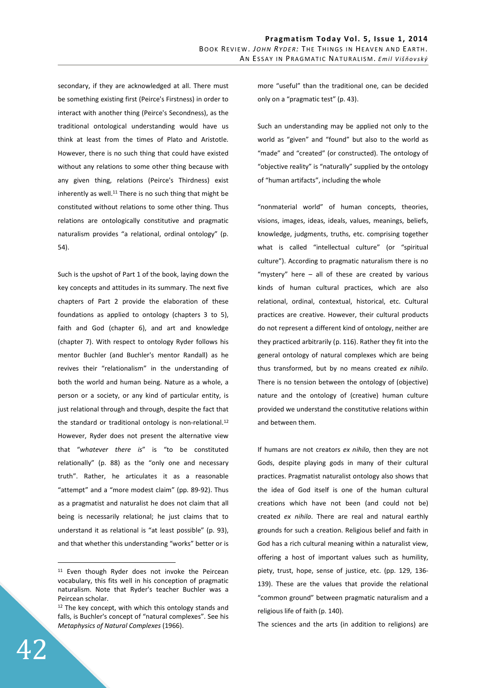secondary, if they are acknowledged at all. There must be something existing first (Peirce's Firstness) in order to interact with another thing (Peirce's Secondness), as the traditional ontological understanding would have us think at least from the times of Plato and Aristotle. However, there is no such thing that could have existed without any relations to some other thing because with any given thing, relations (Peirce's Thirdness) exist inherently as well.<sup>11</sup> There is no such thing that might be constituted without relations to some other thing. Thus relations are ontologically constitutive and pragmatic naturalism provides "a relational, ordinal ontology" (p. 54).

Such is the upshot of Part 1 of the book, laying down the key concepts and attitudes in its summary. The next five chapters of Part 2 provide the elaboration of these foundations as applied to ontology (chapters 3 to 5), faith and God (chapter 6), and art and knowledge (chapter 7). With respect to ontology Ryder follows his mentor Buchler (and Buchler's mentor Randall) as he revives their "relationalism" in the understanding of both the world and human being. Nature as a whole, a person or a society, or any kind of particular entity, is just relational through and through, despite the fact that the standard or traditional ontology is non-relational.<sup>12</sup> However, Ryder does not present the alternative view that "*whatever there is*" is "to be constituted relationally" (p. 88) as the "only one and necessary truth". Rather, he articulates it as a reasonable "attempt" and a "more modest claim" (pp. 89-92). Thus as a pragmatist and naturalist he does not claim that all being is necessarily relational; he just claims that to understand it as relational is "at least possible" (p. 93), and that whether this understanding "works" better or is more "useful" than the traditional one, can be decided only on a "pragmatic test" (p. 43).

Such an understanding may be applied not only to the world as "given" and "found" but also to the world as "made" and "created" (or constructed). The ontology of "objective reality" is "naturally" supplied by the ontology of "human artifacts", including the whole

"nonmaterial world" of human concepts, theories, visions, images, ideas, ideals, values, meanings, beliefs, knowledge, judgments, truths, etc. comprising together what is called "intellectual culture" (or "spiritual culture"). According to pragmatic naturalism there is no "mystery" here – all of these are created by various kinds of human cultural practices, which are also relational, ordinal, contextual, historical, etc. Cultural practices are creative. However, their cultural products do not represent a different kind of ontology, neither are they practiced arbitrarily (p. 116). Rather they fit into the general ontology of natural complexes which are being thus transformed, but by no means created *ex nihilo*. There is no tension between the ontology of (objective) nature and the ontology of (creative) human culture provided we understand the constitutive relations within and between them.

If humans are not creators *ex nihilo*, then they are not Gods, despite playing gods in many of their cultural practices. Pragmatist naturalist ontology also shows that the idea of God itself is one of the human cultural creations which have not been (and could not be) created *ex nihilo*. There are real and natural earthly grounds for such a creation. Religious belief and faith in God has a rich cultural meaning within a naturalist view, offering a host of important values such as humility, piety, trust, hope, sense of justice, etc. (pp. 129, 136- 139). These are the values that provide the relational "common ground" between pragmatic naturalism and a religious life of faith (p. 140).

The sciences and the arts (in addition to religions) are

<sup>&</sup>lt;sup>11</sup> Even though Ryder does not invoke the Peircean vocabulary, this fits well in his conception of pragmatic naturalism. Note that Ryder's teacher Buchler was a Peircean scholar.

 $12$  The key concept, with which this ontology stands and falls, is Buchler's concept of "natural complexes". See his *Metaphysics of Natural Complexes* (1966).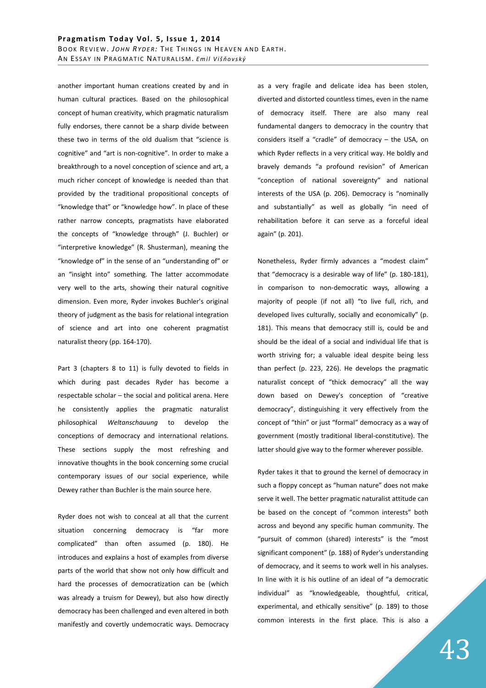another important human creations created by and in human cultural practices. Based on the philosophical concept of human creativity, which pragmatic naturalism fully endorses, there cannot be a sharp divide between these two in terms of the old dualism that "science is cognitive" and "art is non-cognitive". In order to make a breakthrough to a novel conception of science and art, a much richer concept of knowledge is needed than that provided by the traditional propositional concepts of "knowledge that" or "knowledge how". In place of these rather narrow concepts, pragmatists have elaborated the concepts of "knowledge through" (J. Buchler) or "interpretive knowledge" (R. Shusterman), meaning the "knowledge of" in the sense of an "understanding of" or an "insight into" something. The latter accommodate very well to the arts, showing their natural cognitive dimension. Even more, Ryder invokes Buchler's original theory of judgment as the basis for relational integration of science and art into one coherent pragmatist naturalist theory (pp. 164-170).

Part 3 (chapters 8 to 11) is fully devoted to fields in which during past decades Ryder has become a respectable scholar – the social and political arena. Here he consistently applies the pragmatic naturalist philosophical *Weltanschauung* to develop the conceptions of democracy and international relations. These sections supply the most refreshing and innovative thoughts in the book concerning some crucial contemporary issues of our social experience, while Dewey rather than Buchler is the main source here.

Ryder does not wish to conceal at all that the current situation concerning democracy is "far more complicated" than often assumed (p. 180). He introduces and explains a host of examples from diverse parts of the world that show not only how difficult and hard the processes of democratization can be (which was already a truism for Dewey), but also how directly democracy has been challenged and even altered in both manifestly and covertly undemocratic ways. Democracy as a very fragile and delicate idea has been stolen, diverted and distorted countless times, even in the name of democracy itself. There are also many real fundamental dangers to democracy in the country that considers itself a "cradle" of democracy – the USA, on which Ryder reflects in a very critical way. He boldly and bravely demands "a profound revision" of American "conception of national sovereignty" and national interests of the USA (p. 206). Democracy is "nominally and substantially" as well as globally "in need of rehabilitation before it can serve as a forceful ideal again" (p. 201).

Nonetheless, Ryder firmly advances a "modest claim" that "democracy is a desirable way of life" (p. 180-181), in comparison to non-democratic ways, allowing a majority of people (if not all) "to live full, rich, and developed lives culturally, socially and economically" (p. 181). This means that democracy still is, could be and should be the ideal of a social and individual life that is worth striving for; a valuable ideal despite being less than perfect (p. 223, 226). He develops the pragmatic naturalist concept of "thick democracy" all the way down based on Dewey's conception of "creative democracy", distinguishing it very effectively from the concept of "thin" or just "formal" democracy as a way of government (mostly traditional liberal-constitutive). The latter should give way to the former wherever possible.

Ryder takes it that to ground the kernel of democracy in such a floppy concept as "human nature" does not make serve it well. The better pragmatic naturalist attitude can be based on the concept of "common interests" both across and beyond any specific human community. The "pursuit of common (shared) interests" is the "most significant component" (p. 188) of Ryder's understanding of democracy, and it seems to work well in his analyses. In line with it is his outline of an ideal of "a democratic individual" as "knowledgeable, thoughtful, critical, experimental, and ethically sensitive" (p. 189) to those common interests in the first place. This is also a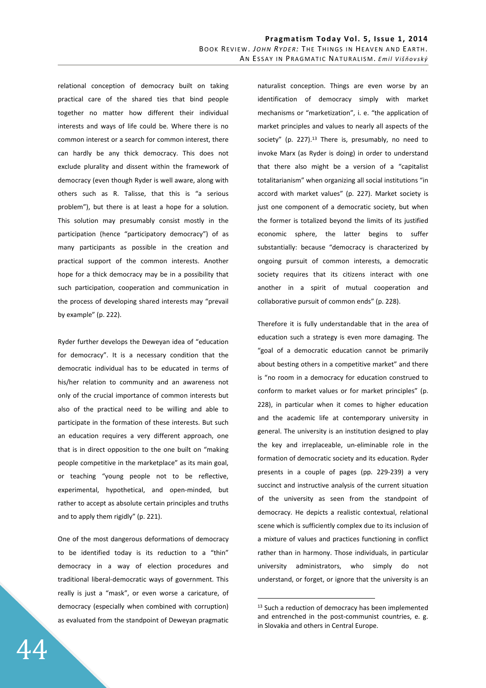relational conception of democracy built on taking practical care of the shared ties that bind people together no matter how different their individual interests and ways of life could be. Where there is no common interest or a search for common interest, there can hardly be any thick democracy. This does not exclude plurality and dissent within the framework of democracy (even though Ryder is well aware, along with others such as R. Talisse, that this is "a serious problem"), but there is at least a hope for a solution. This solution may presumably consist mostly in the participation (hence "participatory democracy") of as many participants as possible in the creation and practical support of the common interests. Another hope for a thick democracy may be in a possibility that such participation, cooperation and communication in the process of developing shared interests may "prevail by example" (p. 222).

Ryder further develops the Deweyan idea of "education for democracy". It is a necessary condition that the democratic individual has to be educated in terms of his/her relation to community and an awareness not only of the crucial importance of common interests but also of the practical need to be willing and able to participate in the formation of these interests. But such an education requires a very different approach, one that is in direct opposition to the one built on "making people competitive in the marketplace" as its main goal, or teaching "young people not to be reflective, experimental, hypothetical, and open-minded, but rather to accept as absolute certain principles and truths and to apply them rigidly" (p. 221).

One of the most dangerous deformations of democracy to be identified today is its reduction to a "thin" democracy in a way of election procedures and traditional liberal-democratic ways of government. This really is just a "mask", or even worse a caricature, of democracy (especially when combined with corruption) as evaluated from the standpoint of Deweyan pragmatic naturalist conception. Things are even worse by an identification of democracy simply with market mechanisms or "marketization", i. e. "the application of market principles and values to nearly all aspects of the society" (p. 227).<sup>13</sup> There is, presumably, no need to invoke Marx (as Ryder is doing) in order to understand that there also might be a version of a "capitalist totalitarianism" when organizing all social institutions "in accord with market values" (p. 227). Market society is just one component of a democratic society, but when the former is totalized beyond the limits of its justified economic sphere, the latter begins to suffer substantially: because "democracy is characterized by ongoing pursuit of common interests, a democratic society requires that its citizens interact with one another in a spirit of mutual cooperation and collaborative pursuit of common ends" (p. 228).

Therefore it is fully understandable that in the area of education such a strategy is even more damaging. The "goal of a democratic education cannot be primarily about besting others in a competitive market" and there is "no room in a democracy for education construed to conform to market values or for market principles" (p. 228), in particular when it comes to higher education and the academic life at contemporary university in general. The university is an institution designed to play the key and irreplaceable, un-eliminable role in the formation of democratic society and its education. Ryder presents in a couple of pages (pp. 229-239) a very succinct and instructive analysis of the current situation of the university as seen from the standpoint of democracy. He depicts a realistic contextual, relational scene which is sufficiently complex due to its inclusion of a mixture of values and practices functioning in conflict rather than in harmony. Those individuals, in particular university administrators, who simply do not understand, or forget, or ignore that the university is an

<sup>&</sup>lt;sup>13</sup> Such a reduction of democracy has been implemented and entrenched in the post-communist countries, e. g. in Slovakia and others in Central Europe.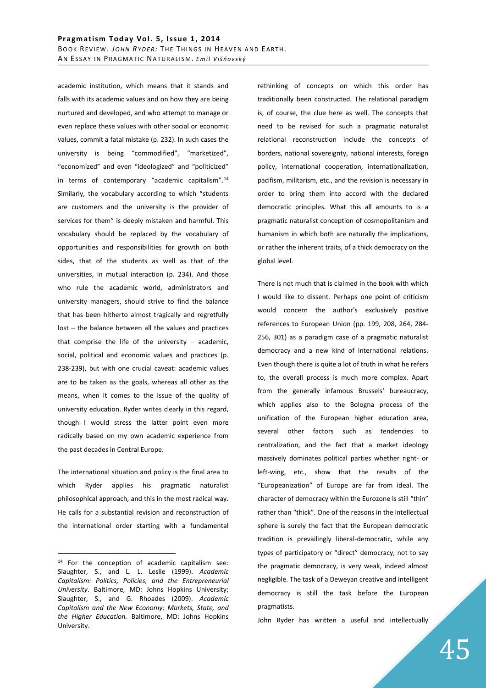academic institution, which means that it stands and falls with its academic values and on how they are being nurtured and developed, and who attempt to manage or even replace these values with other social or economic values, commit a fatal mistake (p. 232). In such cases the university is being "commodified", "marketized", "economized" and even "ideologized" and "politicized" in terms of contemporary "academic capitalism".<sup>14</sup> Similarly, the vocabulary according to which "students are customers and the university is the provider of services for them" is deeply mistaken and harmful. This vocabulary should be replaced by the vocabulary of opportunities and responsibilities for growth on both sides, that of the students as well as that of the universities, in mutual interaction (p. 234). And those who rule the academic world, administrators and university managers, should strive to find the balance that has been hitherto almost tragically and regretfully lost – the balance between all the values and practices that comprise the life of the university  $-$  academic, social, political and economic values and practices (p. 238-239), but with one crucial caveat: academic values are to be taken as the goals, whereas all other as the means, when it comes to the issue of the quality of university education. Ryder writes clearly in this regard, though I would stress the latter point even more radically based on my own academic experience from the past decades in Central Europe.

The international situation and policy is the final area to which Ryder applies his pragmatic naturalist philosophical approach, and this in the most radical way. He calls for a substantial revision and reconstruction of the international order starting with a fundamental

 $\overline{a}$ 

rethinking of concepts on which this order has traditionally been constructed. The relational paradigm is, of course, the clue here as well. The concepts that need to be revised for such a pragmatic naturalist relational reconstruction include the concepts of borders, national sovereignty, national interests, foreign policy, international cooperation, internationalization, pacifism, militarism, etc., and the revision is necessary in order to bring them into accord with the declared democratic principles. What this all amounts to is a pragmatic naturalist conception of cosmopolitanism and humanism in which both are naturally the implications, or rather the inherent traits, of a thick democracy on the global level.

There is not much that is claimed in the book with which I would like to dissent. Perhaps one point of criticism would concern the author's exclusively positive references to European Union (pp. 199, 208, 264, 284- 256, 301) as a paradigm case of a pragmatic naturalist democracy and a new kind of international relations. Even though there is quite a lot of truth in what he refers to, the overall process is much more complex. Apart from the generally infamous Brussels' bureaucracy, which applies also to the Bologna process of the unification of the European higher education area, several other factors such as tendencies to centralization, and the fact that a market ideology massively dominates political parties whether right- or left-wing, etc., show that the results of the "Europeanization" of Europe are far from ideal. The character of democracy within the Eurozone is still "thin" rather than "thick". One of the reasons in the intellectual sphere is surely the fact that the European democratic tradition is prevailingly liberal-democratic, while any types of participatory or "direct" democracy, not to say the pragmatic democracy, is very weak, indeed almost negligible. The task of a Deweyan creative and intelligent democracy is still the task before the European pragmatists.

John Ryder has written a useful and intellectually

<sup>14</sup> For the conception of academic capitalism see: Slaughter, S., and L. L. Leslie (1999). *Academic Capitalism: Politics, Policies, and the Entrepreneurial University*. Baltimore, MD: Johns Hopkins University; Slaughter, S., and G. Rhoades (2009). *Academic Capitalism and the New Economy: Markets, State, and the Higher Education.* Baltimore, MD: Johns Hopkins University.